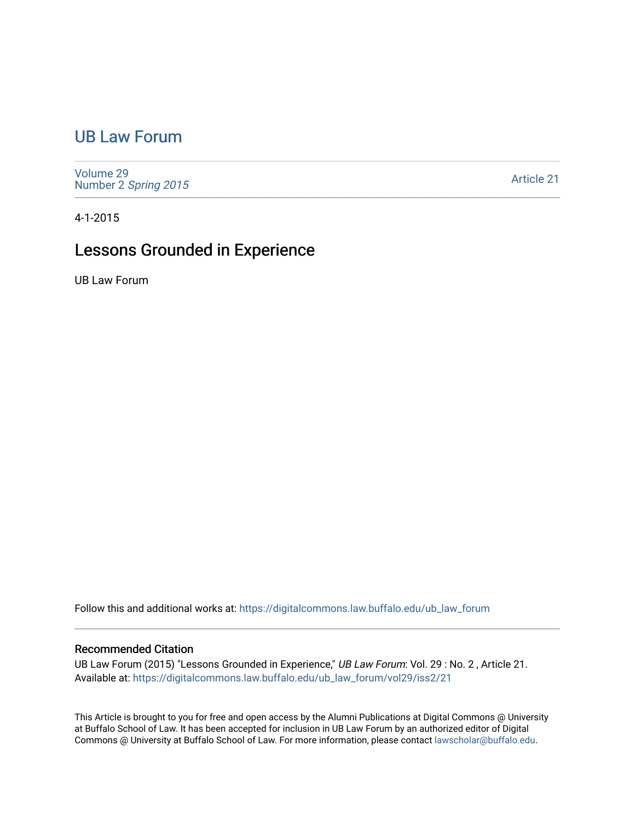## [UB Law Forum](https://digitalcommons.law.buffalo.edu/ub_law_forum)

[Volume 29](https://digitalcommons.law.buffalo.edu/ub_law_forum/vol29) Number 2 [Spring 2015](https://digitalcommons.law.buffalo.edu/ub_law_forum/vol29/iss2) 

[Article 21](https://digitalcommons.law.buffalo.edu/ub_law_forum/vol29/iss2/21) 

4-1-2015

## Lessons Grounded in Experience

UB Law Forum

Follow this and additional works at: [https://digitalcommons.law.buffalo.edu/ub\\_law\\_forum](https://digitalcommons.law.buffalo.edu/ub_law_forum?utm_source=digitalcommons.law.buffalo.edu%2Fub_law_forum%2Fvol29%2Fiss2%2F21&utm_medium=PDF&utm_campaign=PDFCoverPages) 

## Recommended Citation

UB Law Forum (2015) "Lessons Grounded in Experience," UB Law Forum: Vol. 29 : No. 2, Article 21. Available at: [https://digitalcommons.law.buffalo.edu/ub\\_law\\_forum/vol29/iss2/21](https://digitalcommons.law.buffalo.edu/ub_law_forum/vol29/iss2/21?utm_source=digitalcommons.law.buffalo.edu%2Fub_law_forum%2Fvol29%2Fiss2%2F21&utm_medium=PDF&utm_campaign=PDFCoverPages) 

This Article is brought to you for free and open access by the Alumni Publications at Digital Commons @ University at Buffalo School of Law. It has been accepted for inclusion in UB Law Forum by an authorized editor of Digital Commons @ University at Buffalo School of Law. For more information, please contact [lawscholar@buffalo.edu](mailto:lawscholar@buffalo.edu).